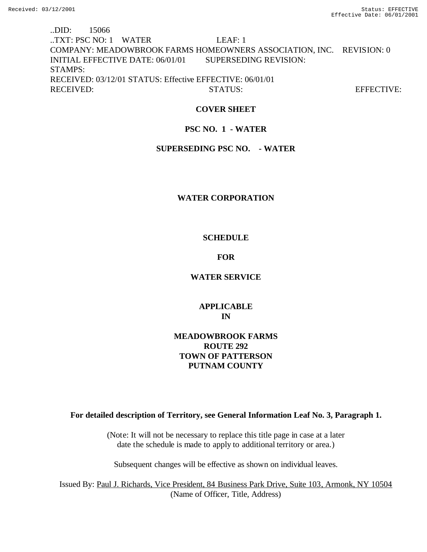..DID: 15066 ..TXT: PSC NO: 1 WATER LEAF: 1 COMPANY: MEADOWBROOK FARMS HOMEOWNERS ASSOCIATION, INC. REVISION: 0 INITIAL EFFECTIVE DATE: 06/01/01 SUPERSEDING REVISION: STAMPS: RECEIVED: 03/12/01 STATUS: Effective EFFECTIVE: 06/01/01 RECEIVED: STATUS: STATUS: EFFECTIVE:

### **COVER SHEET**

### **PSC NO. 1 - WATER**

### **SUPERSEDING PSC NO. - WATER**

### **WATER CORPORATION**

### **SCHEDULE**

### **FOR**

### **WATER SERVICE**

# **APPLICABLE IN**

# **MEADOWBROOK FARMS ROUTE 292 TOWN OF PATTERSON PUTNAM COUNTY**

# **For detailed description of Territory, see General Information Leaf No. 3, Paragraph 1.**

(Note: It will not be necessary to replace this title page in case at a later date the schedule is made to apply to additional territory or area.)

Subsequent changes will be effective as shown on individual leaves.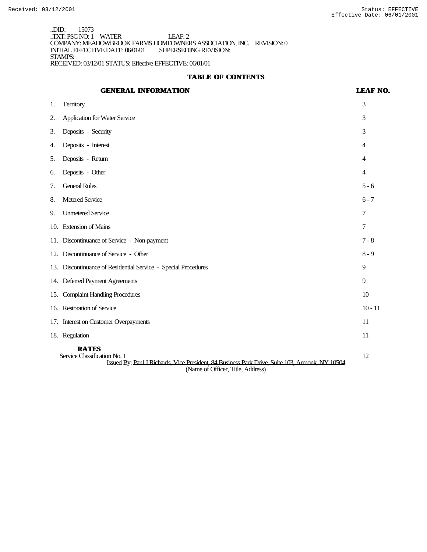..DID: 15073 ..TXT: PSC NO: 1 WATER LEAF: 2 COMPANY: MEADOWBROOK FARMS HOMEOWNERS ASSOCIATION, INC. REVISION: 0 INITIAL EFFECTIVE DATE: 06/01/01 SUPERSEDING REVISION: STAMPS: RECEIVED: 03/12/01 STATUS: Effective EFFECTIVE: 06/01/01

### **TABLE OF CONTENTS**

# **GENERAL INFORMATION LEAF NO.**

| 1.                                                                                                                                                                                   | <b>Territory</b>                                               | 3         |
|--------------------------------------------------------------------------------------------------------------------------------------------------------------------------------------|----------------------------------------------------------------|-----------|
| 2.                                                                                                                                                                                   | <b>Application for Water Service</b>                           | 3         |
| 3.                                                                                                                                                                                   | Deposits - Security                                            | 3         |
| 4.                                                                                                                                                                                   | Deposits - Interest                                            | 4         |
| 5.                                                                                                                                                                                   | Deposits - Return                                              | 4         |
| 6.                                                                                                                                                                                   | Deposits - Other                                               | 4         |
| 7.                                                                                                                                                                                   | <b>General Rules</b>                                           | $5 - 6$   |
| 8.                                                                                                                                                                                   | Metered Service                                                | $6 - 7$   |
| 9.                                                                                                                                                                                   | <b>Unmetered Service</b>                                       | 7         |
|                                                                                                                                                                                      | 10. Extension of Mains                                         | 7         |
|                                                                                                                                                                                      | 11. Discontinuance of Service - Non-payment                    | $7 - 8$   |
|                                                                                                                                                                                      | 12. Discontinuance of Service - Other                          | $8 - 9$   |
|                                                                                                                                                                                      | 13. Discontinuance of Residential Service - Special Procedures | 9         |
|                                                                                                                                                                                      | 14. Deferred Payment Agreements                                | 9         |
| 15.                                                                                                                                                                                  | <b>Complaint Handling Procedures</b>                           | 10        |
| 16.                                                                                                                                                                                  | <b>Restoration of Service</b>                                  | $10 - 11$ |
| 17.                                                                                                                                                                                  | <b>Interest on Customer Overpayments</b>                       | 11        |
|                                                                                                                                                                                      | 18. Regulation                                                 | 11        |
| <b>RATES</b><br>Service Classification No. 1<br>Issued By: Paul J Richards, Vice President, 84 Business Park Drive, Suite 103, Armonk, NY 10504<br>(Name of Officer, Title, Address) |                                                                | 12        |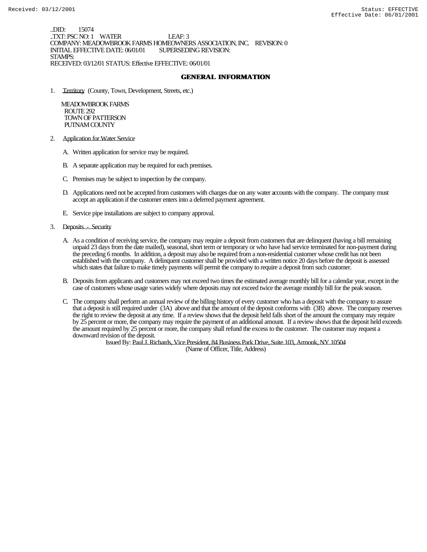..DID: 15074 ..TXT: PSC NO: 1 WATER LEAF: 3 COMPANY: MEADOWBROOK FARMS HOMEOWNERS ASSOCIATION, INC. REVISION: 0 INITIAL EFFECTIVE DATE: 06/01/01 STAMPS: RECEIVED: 03/12/01 STATUS: Effective EFFECTIVE: 06/01/01

#### **GENERAL INFORMATION**

1. Territory (County, Town, Development, Streets, etc.)

 MEADOWBROOK FARMS ROUTE 292 TOWN OF PATTERSON PUTNAM COUNTY

- 2. Application for Water Service
	- A. Written application for service may be required.
	- B. A separate application may be required for each premises.
	- C. Premises may be subject to inspection by the company.
	- D. Applications need not be accepted from customers with charges due on any water accounts with the company. The company must accept an application if the customer enters into a deferred payment agreement.
	- E. Service pipe installations are subject to company approval.
- 3. Deposits Security
	- A. As a condition of receiving service, the company may require a deposit from customers that are delinquent (having a bill remaining unpaid 23 days from the date mailed), seasonal, short term or temporary or who have had service terminated for non-payment during the preceding 6 months. In addition, a deposit may also be required from a non-residential customer whose credit has not been established with the company. A delinquent customer shall be provided with a written notice 20 days before the deposit is assessed which states that failure to make timely payments will permit the company to require a deposit from such customer.
	- B. Deposits from applicants and customers may not exceed two times the estimated average monthly bill for a calendar year, except in the case of customers whose usage varies widely where deposits may not exceed twice the average monthly bill for the peak season.
	- C. The company shall perform an annual review of the billing history of every customer who has a deposit with the company to assure that a deposit is still required under (3A) above and that the amount of the deposit conforms with (3B) above. The company reserves the right to review the deposit at any time. If a review shows that the deposit held falls short of the amount the company may require by 25 percent or more, the company may require the payment of an additional amount. If a review shows that the deposit held exceeds the amount required by 25 percent or more, the company shall refund the excess to the customer. The customer may request a downward revision of the deposit.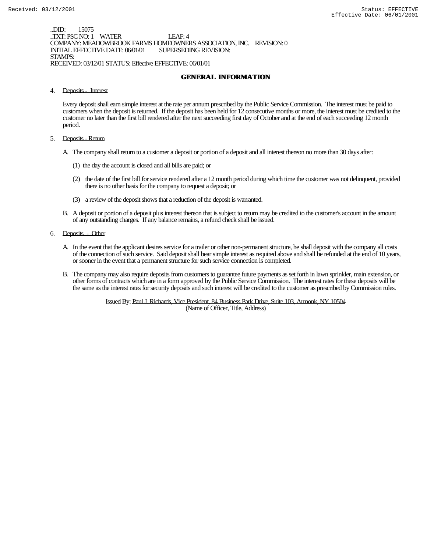..DID: 15075 ..TXT: PSC NO: 1 WATER LEAF: 4 COMPANY: MEADOWBROOK FARMS HOMEOWNERS ASSOCIATION, INC. REVISION: 0 INITIAL EFFECTIVE DATE: 06/01/01 STAMPS: RECEIVED: 03/12/01 STATUS: Effective EFFECTIVE: 06/01/01

#### **GENERAL INFORMATION**

4. Deposits - Interest

Every deposit shall earn simple interest at the rate per annum prescribed by the Public Service Commission. The interest must be paid to customers when the deposit is returned. If the deposit has been held for 12 consecutive months or more, the interest must be credited to the customer no later than the first bill rendered after the next succeeding first day of October and at the end of each succeeding 12 month period.

- 5. Deposits Return
	- A. The company shall return to a customer a deposit or portion of a deposit and all interest thereon no more than 30 days after:
		- (1) the day the account is closed and all bills are paid; or
		- (2) the date of the first bill for service rendered after a 12 month period during which time the customer was not delinquent, provided there is no other basis for the company to request a deposit; or
		- (3) a review of the deposit shows that a reduction of the deposit is warranted.
	- B. A deposit or portion of a deposit plus interest thereon that is subject to return may be credited to the customer's account in the amount of any outstanding charges. If any balance remains, a refund check shall be issued.
- 6. Deposits Other
	- A. In the event that the applicant desires service for a trailer or other non-permanent structure, he shall deposit with the company all costs of the connection of such service. Said deposit shall bear simple interest as required above and shall be refunded at the end of 10 years, or sooner in the event that a permanent structure for such service connection is completed.
	- B. The company may also require deposits from customers to guarantee future payments as set forth in lawn sprinkler, main extension, or other forms of contracts which are in a form approved by the Public Service Commission. The interest rates for these deposits will be the same as the interest rates for security deposits and such interest will be credited to the customer as prescribed by Commission rules.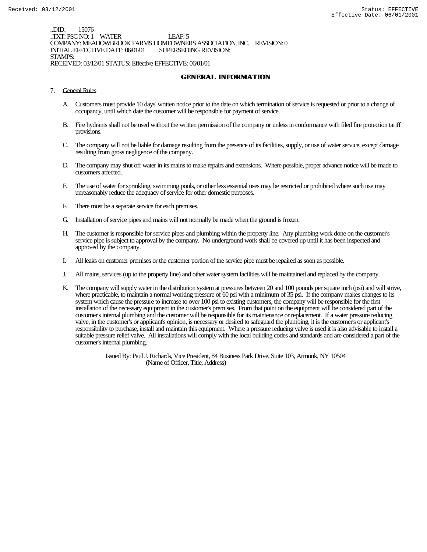..DID: 15076 ..TXT: PSC NO: 1 WATER LEAF: 5 COMPANY: MEADOWBROOK FARMS HOMEOWNERS ASSOCIATION, INC. REVISION: 0 INITIAL EFFECTIVE DATE: 06/01/01 STAMPS: RECEIVED: 03/12/01 STATUS: Effective EFFECTIVE: 06/01/01

#### **GENERAL INFORMATION**

- 7. General Rules
	- A. Customers must provide 10 days' written notice prior to the date on which termination of service is requested or prior to a change of occupancy, until which date the customer will be responsible for payment of service.
	- B. Fire hydrants shall not be used without the written permission of the company or unless in conformance with filed fire protection tariff provisions.
	- C. The company will not be liable for damage resulting from the presence of its facilities, supply, or use of water service, except damage resulting from gross negligence of the company.
	- D. The company may shut off water in its mains to make repairs and extensions. Where possible, proper advance notice will be made to customers affected.
	- E. The use of water for sprinkling, swimming pools, or other less essential uses may be restricted or prohibited where such use may unreasonably reduce the adequacy of service for other domestic purposes.
	- F. There must be a separate service for each premises.
	- G. Installation of service pipes and mains will not normally be made when the ground is frozen.
	- H. The customer is responsible for service pipes and plumbing within the property line. Any plumbing work done on the customer's service pipe is subject to approval by the company. No underground work shall be covered up until it has been inspected and approved by the company.
	- I. All leaks on customer premises or the customer portion of the service pipe must be repaired as soon as possible.
	- J. All mains, services (up to the property line) and other water system facilities will be maintained and replaced by the company.
	- K. The company will supply water in the distribution system at pressures between 20 and 100 pounds per square inch (psi) and will strive, where practicable, to maintain a normal working pressure of 60 psi with a minimum of 35 psi. If the company makes changes to its system which cause the pressure to increase to over 100 psi to existing customers, the company will be responsible for the first installation of the necessary equipment in the customer's premises. From that point on the equipment will be considered part of the customer's internal plumbing and the customer will be responsible for its maintenance or replacement. If a water pressure reducing valve, in the customer's or applicant's opinion, is necessary or desired to safeguard the plumbing, it is the customer's or applicant's responsibility to purchase, install and maintain this equipment. Where a pressure reducing valve is used it is also advisable to install a suitable pressure relief valve. All installations will comply with the local building codes and standards and are considered a part of the customer's internal plumbing.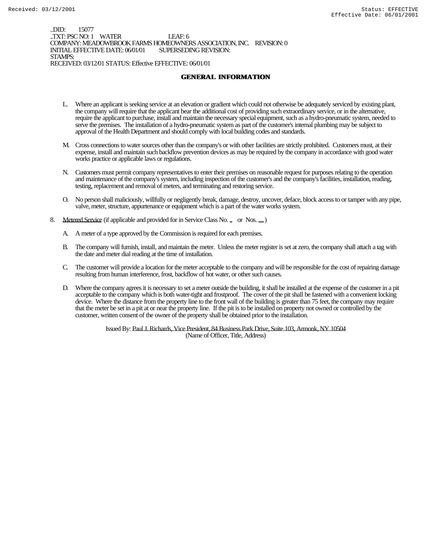..DID: 15077 ..TXT: PSC NO: 1 WATER LEAF: 6 COMPANY: MEADOWBROOK FARMS HOMEOWNERS ASSOCIATION, INC. REVISION: 0 INITIAL EFFECTIVE DATE: 06/01/01 STAMPS: RECEIVED: 03/12/01 STATUS: Effective EFFECTIVE: 06/01/01

#### **GENERAL INFORMATION**

- L. Where an applicant is seeking service at an elevation or gradient which could not otherwise be adequately serviced by existing plant, the company will require that the applicant bear the additional cost of providing such extraordinary service, or in the alternative, require the applicant to purchase, install and maintain the necessary special equipment, such as a hydro-pneumatic system, needed to serve the premises. The installation of a hydro-pneumatic system as part of the customer's internal plumbing may be subject to approval of the Health Department and should comply with local building codes and standards.
- M. Cross connections to water sources other than the company's or with other facilities are strictly prohibited. Customers must, at their expense, install and maintain such backflow prevention devices as may be required by the company in accordance with good water works practice or applicable laws or regulations.
- N. Customers must permit company representatives to enter their premises on reasonable request for purposes relating to the operation and maintenance of the company's system, including inspection of the customer's and the company's facilities, installation, reading, testing, replacement and removal of meters, and terminating and restoring service.
- O. No person shall maliciously, willfully or negligently break, damage, destroy, uncover, deface, block access to or tamper with any pipe, valve, meter, structure, appurtenance or equipment which is a part of the water works system.
- 8. Metered Service (if applicable and provided for in Service Class No. \_ or Nos. \_)
	- A. A meter of a type approved by the Commission is required for each premises.
	- B. The company will furnish, install, and maintain the meter. Unless the meter register is set at zero, the company shall attach a tag with the date and meter dial reading at the time of installation.
	- C. The customer will provide a location for the meter acceptable to the company and will be responsible for the cost of repairing damage resulting from human interference, frost, backflow of hot water, or other such causes.
	- D. Where the company agrees it is necessary to set a meter outside the building, it shall be installed at the expense of the customer in a pit acceptable to the company which is both water-tight and frostproof. The cover of the pit shall be fastened with a convenient locking device. Where the distance from the property line to the front wall of the building is greater than 75 feet, the company may require that the meter be set in a pit at or near the property line. If the pit is to be installed on property not owned or controlled by the customer, written consent of the owner of the property shall be obtained prior to the installation.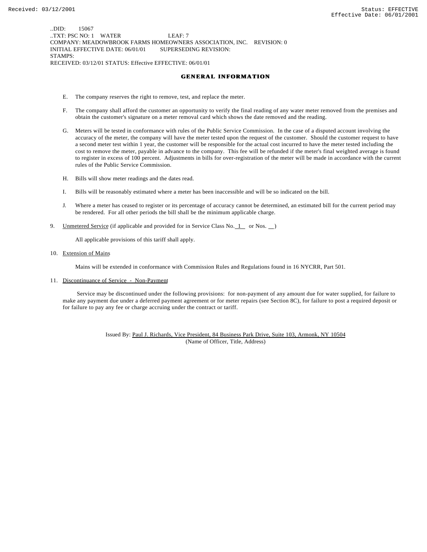..DID: 15067 ..TXT: PSC NO: 1 WATER LEAF: 7 COMPANY: MEADOWBROOK FARMS HOMEOWNERS ASSOCIATION, INC. REVISION: 0 INITIAL EFFECTIVE DATE: 06/01/01 SUPERSEDING REVISION: STAMPS: RECEIVED: 03/12/01 STATUS: Effective EFFECTIVE: 06/01/01

#### **GENERAL INFORMATION**

- E. The company reserves the right to remove, test, and replace the meter.
- F. The company shall afford the customer an opportunity to verify the final reading of any water meter removed from the premises and obtain the customer's signature on a meter removal card which shows the date removed and the reading.
- G. Meters will be tested in conformance with rules of the Public Service Commission. In the case of a disputed account involving the accuracy of the meter, the company will have the meter tested upon the request of the customer. Should the customer request to have a second meter test within 1 year, the customer will be responsible for the actual cost incurred to have the meter tested including the cost to remove the meter, payable in advance to the company. This fee will be refunded if the meter's final weighted average is found to register in excess of 100 percent. Adjustments in bills for over-registration of the meter will be made in accordance with the current rules of the Public Service Commission.
- H. Bills will show meter readings and the dates read.
- I. Bills will be reasonably estimated where a meter has been inaccessible and will be so indicated on the bill.
- J. Where a meter has ceased to register or its percentage of accuracy cannot be determined, an estimated bill for the current period may be rendered. For all other periods the bill shall be the minimum applicable charge.
- 9. Unmetered Service (if applicable and provided for in Service Class No.  $1$  or Nos.  $)$

All applicable provisions of this tariff shall apply.

10. Extension of Mains

Mains will be extended in conformance with Commission Rules and Regulations found in 16 NYCRR, Part 501.

11. Discontinuance of Service - Non-Payment

 Service may be discontinued under the following provisions: for non-payment of any amount due for water supplied, for failure to make any payment due under a deferred payment agreement or for meter repairs (see Section 8C), for failure to post a required deposit or for failure to pay any fee or charge accruing under the contract or tariff.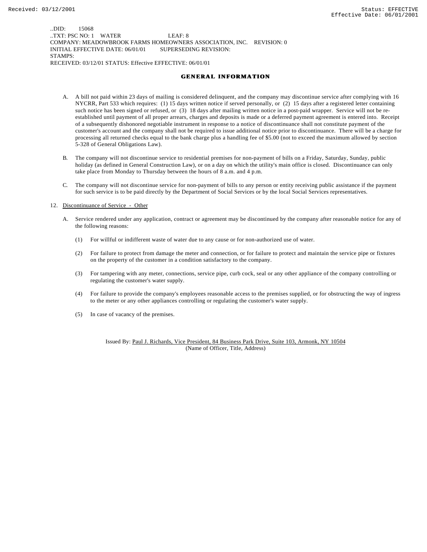..DID: 15068 ..TXT: PSC NO: 1 WATER LEAF: 8 COMPANY: MEADOWBROOK FARMS HOMEOWNERS ASSOCIATION, INC. REVISION: 0 INITIAL EFFECTIVE DATE: 06/01/01 SUPERSEDING REVISION: STAMPS: RECEIVED: 03/12/01 STATUS: Effective EFFECTIVE: 06/01/01

#### **GENERAL INFORMATION**

- A. A bill not paid within 23 days of mailing is considered delinquent, and the company may discontinue service after complying with 16 NYCRR, Part 533 which requires: (1) 15 days written notice if served personally, or (2) 15 days after a registered letter containing such notice has been signed or refused, or (3) 18 days after mailing written notice in a post-paid wrapper. Service will not be reestablished until payment of all proper arrears, charges and deposits is made or a deferred payment agreement is entered into. Receipt of a subsequently dishonored negotiable instrument in response to a notice of discontinuance shall not constitute payment of the customer's account and the company shall not be required to issue additional notice prior to discontinuance. There will be a charge for processing all returned checks equal to the bank charge plus a handling fee of \$5.00 (not to exceed the maximum allowed by section 5-328 of General Obligations Law).
- B. The company will not discontinue service to residential premises for non-payment of bills on a Friday, Saturday, Sunday, public holiday (as defined in General Construction Law), or on a day on which the utility's main office is closed. Discontinuance can only take place from Monday to Thursday between the hours of 8 a.m. and 4 p.m.
- C. The company will not discontinue service for non-payment of bills to any person or entity receiving public assistance if the payment for such service is to be paid directly by the Department of Social Services or by the local Social Services representatives.

12. Discontinuance of Service - Other

- A. Service rendered under any application, contract or agreement may be discontinued by the company after reasonable notice for any of the following reasons:
	- (1) For willful or indifferent waste of water due to any cause or for non-authorized use of water.
	- (2) For failure to protect from damage the meter and connection, or for failure to protect and maintain the service pipe or fixtures on the property of the customer in a condition satisfactory to the company.
	- (3) For tampering with any meter, connections, service pipe, curb cock, seal or any other appliance of the company controlling or regulating the customer's water supply.
	- (4) For failure to provide the company's employees reasonable access to the premises supplied, or for obstructing the way of ingress to the meter or any other appliances controlling or regulating the customer's water supply.
	- (5) In case of vacancy of the premises.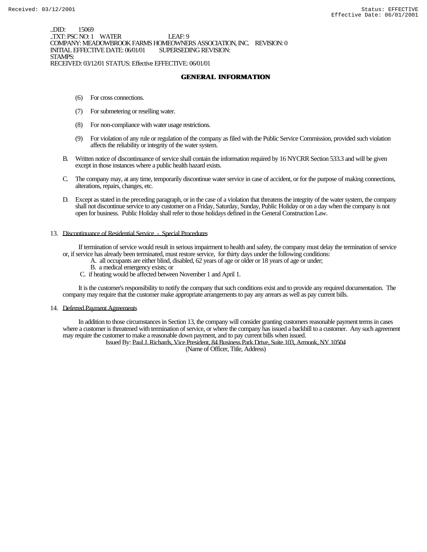..DID: 15069 .TXT: PSC NO: 1 WATER LEAF: 9 COMPANY: MEADOWBROOK FARMS HOMEOWNERS ASSOCIATION, INC. REVISION: 0 INITIAL EFFECTIVE DATE: 06/01/01 STAMPS: RECEIVED: 03/12/01 STATUS: Effective EFFECTIVE: 06/01/01

**GENERAL INFORMATION**

- (6) For cross connections.
- (7) For submetering or reselling water.
- (8) For non-compliance with water usage restrictions.
- (9) For violation of any rule or regulation of the company as filed with the Public Service Commission, provided such violation affects the reliability or integrity of the water system.
- B. Written notice of discontinuance of service shall contain the information required by 16 NYCRR Section 533.3 and will be given except in those instances where a public health hazard exists.
- C. The company may, at any time, temporarily discontinue water service in case of accident, or for the purpose of making connections, alterations, repairs, changes, etc.
- D. Except as stated in the preceding paragraph, or in the case of a violation that threatens the integrity of the water system, the company shall not discontinue service to any customer on a Friday, Saturday, Sunday, Public Holiday or on a day when the company is not open for business. Public Holiday shall refer to those holidays defined in the General Construction Law.

#### 13. Discontinuance of Residential Service - Special Procedures

 If termination of service would result in serious impairment to health and safety, the company must delay the termination of service or, if service has already been terminated, must restore service, for thirty days under the following conditions:

- A. all occupants are either blind, disabled, 62 years of age or older or 18 years of age or under;
	- B. a medical emergency exists; or
	- C. if heating would be affected between November 1 and April 1.

 It is the customer's responsibility to notify the company that such conditions exist and to provide any required documentation. The company may require that the customer make appropriate arrangements to pay any arrears as well as pay current bills.

#### 14. Deferred Payment Agreements

 In addition to those circumstances in Section 13, the company will consider granting customers reasonable payment terms in cases where a customer is threatened with termination of service, or where the company has issued a backbill to a customer. Any such agreement may require the customer to make a reasonable down payment, and to pay current bills when issued.

Issued By: Paul J. Richards, Vice President, 84 Business Park Drive, Suite 103, Armonk, NY 10504

(Name of Officer, Title, Address)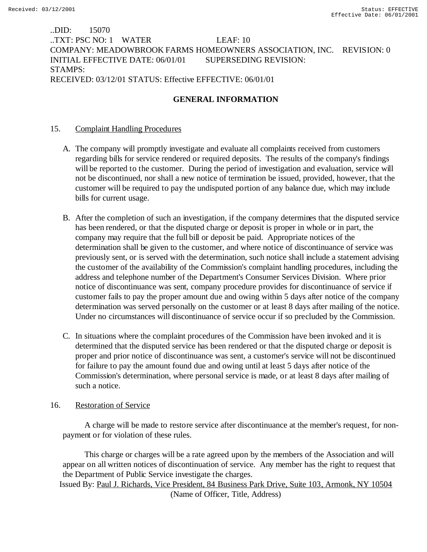# ..DID: 15070 ..TXT: PSC NO: 1 WATER LEAF: 10 COMPANY: MEADOWBROOK FARMS HOMEOWNERS ASSOCIATION, INC. REVISION: 0 INITIAL EFFECTIVE DATE: 06/01/01 SUPERSEDING REVISION: STAMPS: RECEIVED: 03/12/01 STATUS: Effective EFFECTIVE: 06/01/01

# **GENERAL INFORMATION**

# 15. Complaint Handling Procedures

- A. The company will promptly investigate and evaluate all complaints received from customers regarding bills for service rendered or required deposits. The results of the company's findings will be reported to the customer. During the period of investigation and evaluation, service will not be discontinued, nor shall a new notice of termination be issued, provided, however, that the customer will be required to pay the undisputed portion of any balance due, which may include bills for current usage.
- B. After the completion of such an investigation, if the company determines that the disputed service has been rendered, or that the disputed charge or deposit is proper in whole or in part, the company may require that the full bill or deposit be paid. Appropriate notices of the determination shall be given to the customer, and where notice of discontinuance of service was previously sent, or is served with the determination, such notice shall include a statement advising the customer of the availability of the Commission's complaint handling procedures, including the address and telephone number of the Department's Consumer Services Division. Where prior notice of discontinuance was sent, company procedure provides for discontinuance of service if customer fails to pay the proper amount due and owing within 5 days after notice of the company determination was served personally on the customer or at least 8 days after mailing of the notice. Under no circumstances will discontinuance of service occur if so precluded by the Commission.
- C. In situations where the complaint procedures of the Commission have been invoked and it is determined that the disputed service has been rendered or that the disputed charge or deposit is proper and prior notice of discontinuance was sent, a customer's service will not be discontinued for failure to pay the amount found due and owing until at least 5 days after notice of the Commission's determination, where personal service is made, or at least 8 days after mailing of such a notice.

# 16. Restoration of Service

 A charge will be made to restore service after discontinuance at the member's request, for nonpayment or for violation of these rules.

 This charge or charges will be a rate agreed upon by the members of the Association and will appear on all written notices of discontinuation of service. Any member has the right to request that the Department of Public Service investigate the charges. Issued By: Paul J. Richards, Vice President, 84 Business Park Drive, Suite 103, Armonk, NY 10504

(Name of Officer, Title, Address)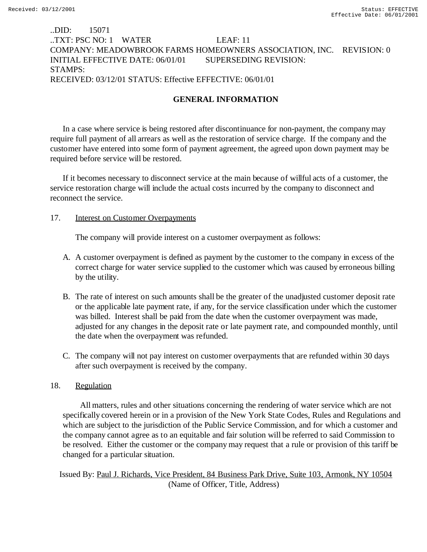# ..DID: 15071 ..TXT: PSC NO: 1 WATER LEAF: 11 COMPANY: MEADOWBROOK FARMS HOMEOWNERS ASSOCIATION, INC. REVISION: 0 INITIAL EFFECTIVE DATE: 06/01/01 SUPERSEDING REVISION: STAMPS: RECEIVED: 03/12/01 STATUS: Effective EFFECTIVE: 06/01/01

# **GENERAL INFORMATION**

In a case where service is being restored after discontinuance for non-payment, the company may require full payment of all arrears as well as the restoration of service charge. If the company and the customer have entered into some form of payment agreement, the agreed upon down payment may be required before service will be restored.

If it becomes necessary to disconnect service at the main because of willful acts of a customer, the service restoration charge will include the actual costs incurred by the company to disconnect and reconnect the service.

### 17. Interest on Customer Overpayments

The company will provide interest on a customer overpayment as follows:

- A. A customer overpayment is defined as payment by the customer to the company in excess of the correct charge for water service supplied to the customer which was caused by erroneous billing by the utility.
- B. The rate of interest on such amounts shall be the greater of the unadjusted customer deposit rate or the applicable late payment rate, if any, for the service classification under which the customer was billed. Interest shall be paid from the date when the customer overpayment was made, adjusted for any changes in the deposit rate or late payment rate, and compounded monthly, until the date when the overpayment was refunded.
- C. The company will not pay interest on customer overpayments that are refunded within 30 days after such overpayment is received by the company.

### 18. Regulation

 All matters, rules and other situations concerning the rendering of water service which are not specifically covered herein or in a provision of the New York State Codes, Rules and Regulations and which are subject to the jurisdiction of the Public Service Commission, and for which a customer and the company cannot agree as to an equitable and fair solution will be referred to said Commission to be resolved. Either the customer or the company may request that a rule or provision of this tariff be changed for a particular situation.